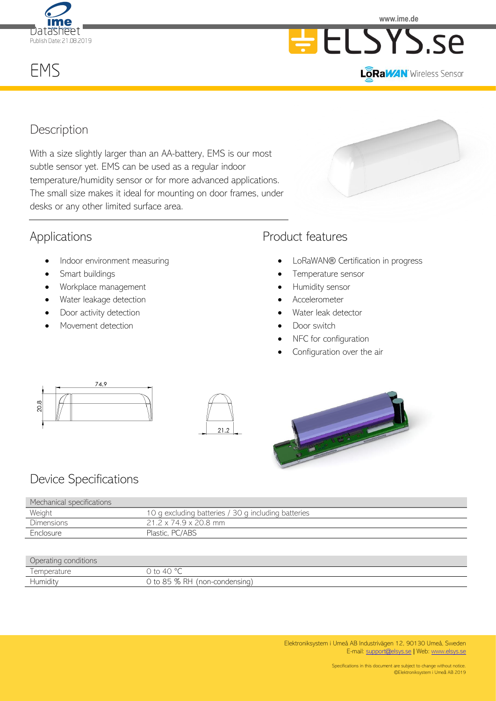

**www.ime.de**

# EMS





# **Description**

With a size slightly larger than an AA-battery, EMS is our most subtle sensor yet. EMS can be used as a regular indoor temperature/humidity sensor or for more advanced applications. The small size makes it ideal for mounting on door frames, under desks or any other limited surface area.

# Applications

- Indoor environment measuring
- Smart buildings
- Workplace management
- Water leakage detection
- Door activity detection
- Movement detection

# Product features

- LoRaWAN® Certification in progress
- Temperature sensor
- Humidity sensor
- Accelerometer
- Water leak detector
- Door switch
- NFC for configuration
- Configuration over the air







# Device Specifications

| Mechanical specifications |                                                     |
|---------------------------|-----------------------------------------------------|
| Weight                    | 10 g excluding batteries / 30 g including batteries |
| <b>Dimensions</b>         | $21.2 \times 74.9 \times 20.8$ mm                   |
| Enclosure                 | Plastic, PC/ABS                                     |

#### Operating conditions

| ------------                     |                                                                                                                                                      |
|----------------------------------|------------------------------------------------------------------------------------------------------------------------------------------------------|
| $_{1}$ r $\epsilon$<br>. Am<br>◡ | $\Omega$<br>. .                                                                                                                                      |
| <b>Humidi</b>                    | $R+$<br>$\sim$<br>$\sim$ $-$<br>u-condensing'<br>non<br>--<br>$\sqrt{2}$<br>ниснэн м.<br>11011<br>ושט<br>$\overline{\phantom{0}}$<br>$\backsim$<br>└ |
|                                  |                                                                                                                                                      |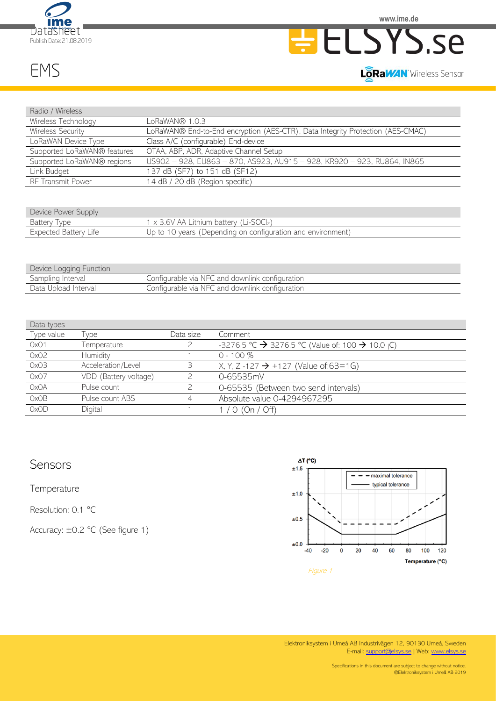





#### LORaWAN Wireless Sensor

EMS

| Radio / Wireless            |                                                                                |  |  |
|-----------------------------|--------------------------------------------------------------------------------|--|--|
| Wireless Technology         | LoRaWAN® 1.0.3                                                                 |  |  |
| Wireless Security           | LoRaWAN® End-to-End encryption (AES-CTR), Data Integrity Protection (AES-CMAC) |  |  |
| LoRaWAN Device Type         | Class A/C (configurable) End-device                                            |  |  |
| Supported LoRaWAN® features | OTAA, ABP, ADR, Adaptive Channel Setup                                         |  |  |
| Supported LoRaWAN® regions  | US902 - 928, EU863 - 870, AS923, AU915 - 928, KR920 - 923, RU864, IN865        |  |  |
| Link Budget                 | 137 dB (SF7) to 151 dB (SF12)                                                  |  |  |
| RF Transmit Power           | 14 dB / 20 dB (Region specific)                                                |  |  |

| Device Power Supply   |                                                             |
|-----------------------|-------------------------------------------------------------|
| Battery Type          | $1 \times 3.6V$ AA Lithium battery (Li-SOCI <sub>2</sub> )  |
| Expected Battery Life | Up to 10 years (Depending on configuration and environment) |

| Device Logging Function |                                                  |
|-------------------------|--------------------------------------------------|
| Sampling Interval       | Configurable via NFC and downlink configuration  |
| Data Upload Interval    | Configurable via NFC and downlink configuration. |

| Data types  |                       |           |                                                                          |
|-------------|-----------------------|-----------|--------------------------------------------------------------------------|
| Type value  | <b>vpe</b>            | Data size | Comment                                                                  |
| OxO1        | Temperature           |           | -3276.5 °C $\rightarrow$ 3276.5 °C (Value of: 100 $\rightarrow$ 10.0 ¡C) |
| 0x02        | Humidity              |           | $0 - 100 \%$                                                             |
| OxO3        | Acceleration/Level    |           | X, Y, Z-127 $\rightarrow$ +127 (Value of:63=1G)                          |
| 0x07        | VDD (Battery voltage) |           | 0-65535mV                                                                |
| <b>OxOA</b> | Pulse count           |           | 0-65535 (Between two send intervals)                                     |
| OxOB        | Pulse count ABS       | 4         | Absolute value 0-4294967295                                              |
| OxOD        | Digital               |           | / $O$ (On / Off)                                                         |

# Sensors

**Temperature** 

Resolution: 0.1 °C

Accuracy: ±0.2 °C (See figure 1)



Elektroniksystem i Umeå AB Industrivägen 12, 90130 Umeå, Sweden E-mail[: support@elsys.se](mailto:support@elsys.se) ǀ Web[: www.elsys.se](http://www.elsys.se/)